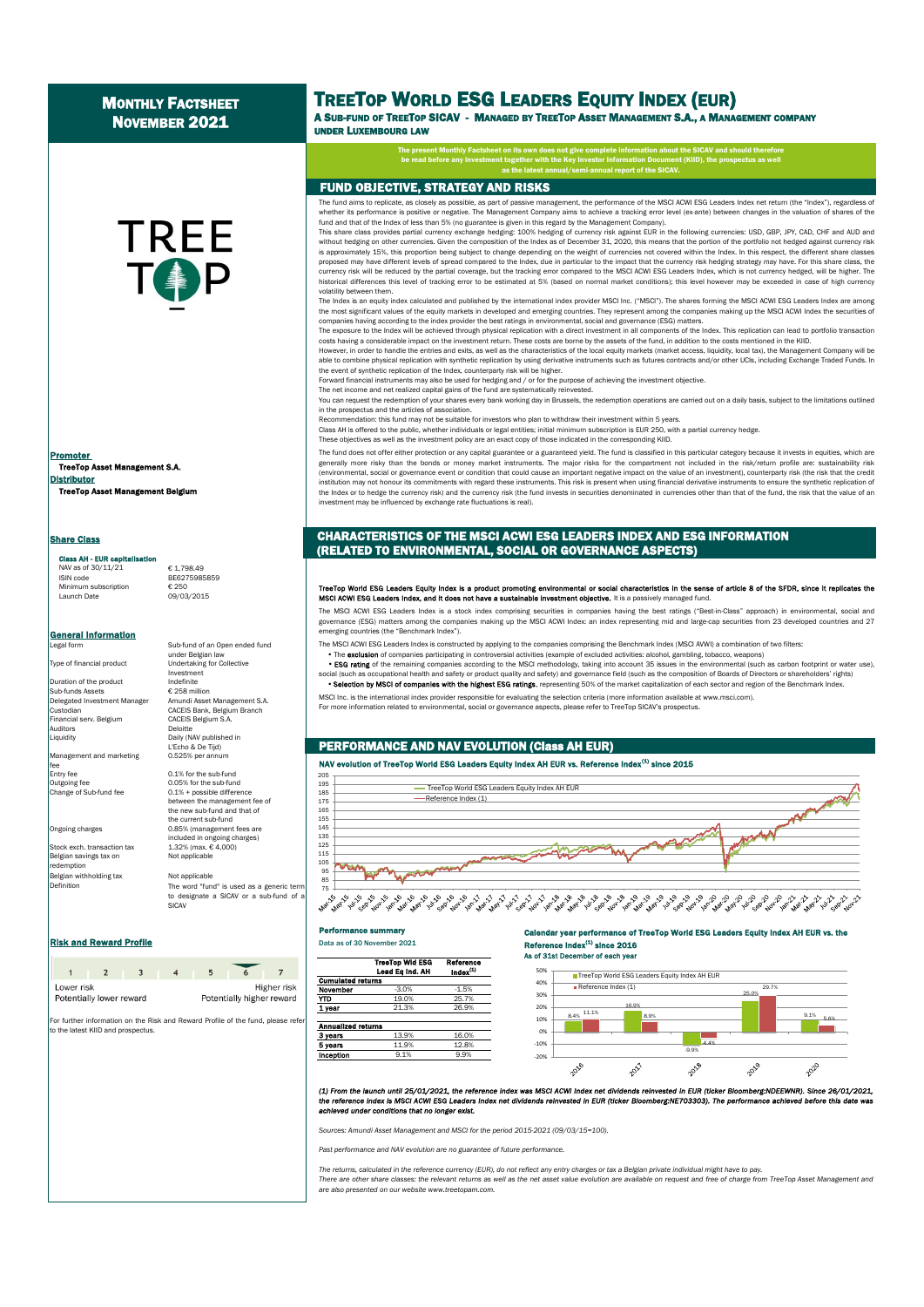# **MONTHLY FACTSHEET** NOVEMBER 2021

TREE

# TREETOP WORLD ESG LEADERS EQUITY INDEX (EUR)

A SUB-FUND OF TREETOP SICAV - MANAGED BY TREETOP ASSET MANAGEMENT S.A., A MANAGEMENT COMPANY UNDER LUXEMBOURG LAW

et on its own does not give complete inform be read before any investment together with the Key Investor Information Document (KIID), the prospectus as well

## FUND OBJECTIVE, STRATEGY AND RISKS

The fund aims to replicate, as closely as possible, as part of passive management, the performance of the MSCI ACWI ESG Leaders Index net return (the "Index"), regardless of whether its performance is positive or negative. The Management Company aims to achieve a tracking error level (ex-ante) between changes in the valuation of shares of the fund and that of the Index of less than 5% (no guarantee is given in this regard by the Management Company).

as the latest annual/semi-annual report of the SICAV.

This share class provides partial currency exchange hedging: 100% hedging of currency risk against EUR in the following currencies: USD, GBP, JPY, CAD, CHF and AUD and without hedging on other currencies. Given the composition of the Index as of December 31, 2020, this means that the portion of the portfolio not hedged against currency risk is approximately 15%, this proportion being subject to change depending on the weight of currencies not covered within the Index. In this respect, the different share classes<br>proposed may have different levels of spread co currency risk will be reduced by the partial coverage, but the tracking error compared to the MSCI ACWI ESG Leaders Index, which is not currency hedged, will be higher. The historical differences this level of tracking error to be estimated at 5% (based on normal market conditions); this level however may be exceeded in case of high currency volatility between them.

The Index is an equity index calculated and published by the international index provider MSCI Inc. ("MSCI"). The shares forming the MSCI ACWI ESG Leaders Index are among the most significant values of the equity markets in developed and emerging countries. They represent among the companies making up the MSCI ACWI Index the securities of<br>companies having according to the index provider the

The exposure to the Index will be achieved through physical replication with a direct investment in all components of the Index. This replication can lead to portfolio transaction costs having a considerable impact on the investment return. These costs are borne by the assets of the fund, in addition to the costs mentioned in the KIID.

However, in order to handle the entries and exits, as well as the characteristics of the local equity markets (market access, liquidity, local tax), the Management Company will be able to combine physical replication with synthetic replication by using derivative instruments such as futures contracts and/or other UCIs, including Exchange Traded Funds. In the event of synthetic replication of the Index, counterparty risk will be higher.

Forward financial instruments may also be used for hedging and / or for the purpose of achieving the investment objective. The net income and net realized capital gains of the fund are systematically reinvested.

You can request the redemption of your shares every bank working day in Brussels, the redemption operations are carried out on a daily basis, subject to the limitations outlined

in the prospectus and the articles of association.

Recommendation: this fund may not be suitable for investors who plan to withdraw their investment within 5 years. Class AH is offered to the public, whether individuals or legal entities; initial minimum subscription is EUR 250, with a partial currency hedge.

These objectives as well as the investment policy are an exact copy of those indicated in the corresponding KIID.

The fund does not offer either protection or any capital guarantee or a guaranteed yield. The fund is classified in this particular category because it invests in equities, which are generally more risky than the bonds or money market instruments. The major risks for the compartment not included in the risk/return profile are: sustainability risk (environmental, social or governance event or condition that could cause an important negative impact on the value of an investment), counterparty risk (the risk that the credit institution may not honour its commitments with regard these instruments. This risk is present when using financial derivative instruments to ensure the synthetic replication of the Index or to hedge the currency risk) and the currency risk (the fund invests in securities denominated in currencies other than that of the fund, the risk that the value of an investment may be influenced by exchange rate fluctuations is real).

### CHARACTERISTICS OF THE MSCI ACWI ESG LEADERS INDEX AND ESG INFORMATION (RELATED TO ENVIRONMENTAL, SOCIAL OR GOVERNANCE ASPECTS)

# TreeTop World ESG Leaders Equity Index is a product promoting environmental or social characteristics in the sense of article 8 of the SFDR, since it replicates the<br>MSCI ACWI ESG Leaders Index, and it does not have a susta

The MSCI ACWI ESG Leaders Index is a stock index comprising securities in companies having the best ratings ("Best-in-Class" approach) in environmental, social and governance (ESG) matters among the companies making up the MSCI ACWI Index: an index representing mid and large-cap securities from 23 developed countries and 27<br>emerging countries (the "Benchmark Index").

The MSCI ACWI ESG Leaders Index is constructed by applying to the companies comprising the Benchmark Index (MSCI AVWI) a combination of two filters:<br>• The exclusion of companies participating in controversial activities (e

. ESG rating of the remaining companies according to the MSCI methodology, taking into account 35 issues in the environmental (such as carbon footprint or water use),

social (such as occupational health and safety or product quality and safety) and governance field (such as the composition of Boards of Directors or shareholders' rights) . Selection by MSCI of companies with the highest ESG ratings, representing 50% of the market capitalization of each sector and region of the Benchmark Index.

MSCI Inc. is the international index provider responsible for evaluating the selection criteria (more information available at www.msci.com).

For more information related to environmental, social or governance aspects, please refer to TreeTop SICAV's prospectus.

# PERFORMANCE AND NAV EVOLUTION (Class AH EUR)

### NAV evolution of TreeTop World ESG Leaders Equity Index AH EUR vs. Reference Index<sup>(1)</sup> since 2015



#### Performance summary

#### Calendar year performance of TreeTop World ESG Leaders Equity Index AH EUR vs. the  $\cos$  Index $^{(1)}$  since 2016 As of 31st December of each year







(1) From the launch until 25/01/2021, the reference index was MSCI ACWI index net dividends reinvested in EUR (ticker Bloomberg:NDEEWNR). Since 26/01/2021,<br>the reference index is MSCI ACWI ESG Leaders index net dividends r *achieved under conditions that no longer exist.*

*Sources: Amundi Asset Management and MSCI for the period 2015-2021 (09/03/15=100).*

*Past performance and NAV evolution are no guarantee of future performance.*

*The returns, calculated in the reference currency (EUR), do not reflect any entry charges or tax a Belgian private individual might have to pay.* There are other share classes: the relevant returns as well as the net asset value evolution are available on request and free of charge from TreeTop Asset Management and *are also presented on our website www.treetopam.com.*

TreeTop Asset Management S.A. Distributor TreeTop Asset Management Belgium Promoter

**Share Class** 

### Class AH - FUR ca

 $NAV$  as of 30/11/21  $E = 1,798.49$ <br>ISIN code BE6275985 Minimum subscription Launch Date 09/03/2015

BE6275985859

**General Information**<br>Legal form Sub-fund of an Open ended fund under Belgian law Type of financial product Undertaking for Collective

Investment<br>Indefinite

CACEIS Belgium S.A.

Daily (NAV published in L'Echo & De Tijd)<br>0.525% per annum

 $0.1%$  + possible difference between the management fee of the new sub-fund and that of the current sub-fund

included in ongoing charges)

The word "fund" is used as a generic term to designate a SICAV or a sub-fund of a

Duration of the product Sub-funds Assets € 258 million<br>Delegated Investment Manager Amundi Asset Delegated Investment Manager Amundi Asset Management S.A. Custodian CACEIS Bank, Belgium Branch<br>Financial servi Belgium CACEIS Belgium S.A Auditors<br>Liquidity

Management and marketing fee<br>Entry fee Entry fee 0.1% for the sub-fund<br>
Outgoing fee 0.05% for the sub-fun Outgoing fee 0.05% for the sub-fund<br>Change of Sub-fund fee 0.1% + possible different

Ongoing charges 0.85% (management fees are

Stock exch. transaction tax  $1.32\%$  (max. € 4,000)<br>Belgian savings tax on Not applicable Belgian savings tax on demption Belgian withholding tax Not applicable Definition

**Risk and Reward Profile Community Community Community Profile Profile Data as of 30 November 2021** 

| Lower risk<br>Potentially lower reward |  |  | Potentially higher reward | Higher risk |
|----------------------------------------|--|--|---------------------------|-------------|

**SICAV** 

For further information on the Risk and Reward Profile of the fund, please refer to the latest KIID and prospectus.